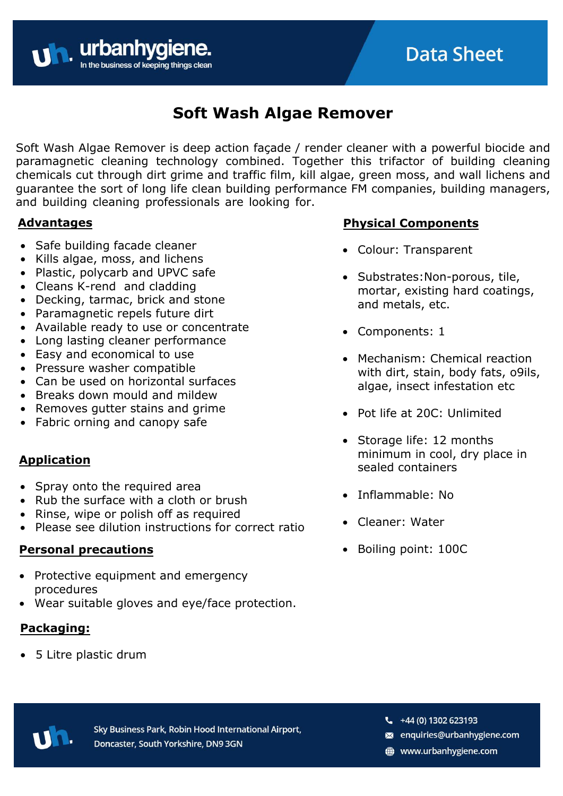# **Soft Wash Algae Remover**

Soft Wash Algae Remover is deep action façade / render cleaner with a powerful biocide and paramagnetic cleaning technology combined. Together this trifactor of building cleaning chemicals cut through dirt grime and traffic film, kill algae, green moss, and wall lichens and guarantee the sort of long life clean building performance FM companies, building managers, and building cleaning professionals are looking for.

#### **Advantages**

• Safe building facade cleaner

**United business of keeping thing** 

- Kills algae, moss, and lichens
- Plastic, polycarb and UPVC safe
- Cleans K-rend and cladding
- Decking, tarmac, brick and stone
- Paramagnetic repels future dirt
- Available ready to use or concentrate
- Long lasting cleaner performance
- Easy and economical to use
- Pressure washer compatible
- Can be used on horizontal surfaces
- Breaks down mould and mildew
- Removes gutter stains and grime
- Fabric orning and canopy safe

### **Application**

- Spray onto the required area
- Rub the surface with a cloth or brush
- Rinse, wipe or polish off as required
- Please see dilution instructions for correct ratio

#### **Personal precautions**

- Protective equipment and emergency procedures
- Wear suitable gloves and eye/face protection.

## **Packaging:**

• 5 Litre plastic drum

## **Physical Components**

- Colour: Transparent
- Substrates:Non-porous, tile, mortar, existing hard coatings, and metals, etc.
- Components: 1
- Mechanism: Chemical reaction with dirt, stain, body fats, o9ils, algae, insect infestation etc
- Pot life at 20C: Unlimited
- Storage life: 12 months minimum in cool, dry place in sealed containers
- Inflammable: No
- Cleaner: Water
- Boiling point: 100C



Sky Business Park, Robin Hood International Airport, Doncaster, South Yorkshire, DN9 3GN

- $-44(0)$  1302 623193
- enquiries@urbanhygiene.com
- www.urbanhygiene.com